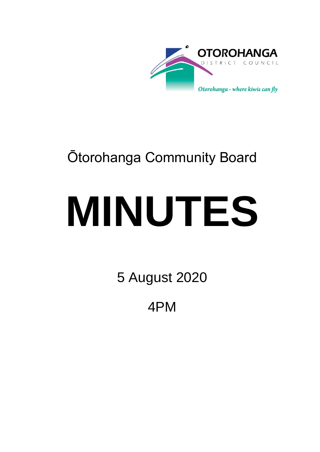

## Ōtorohanga Community Board

# **MINUTES**

5 August 2020

4PM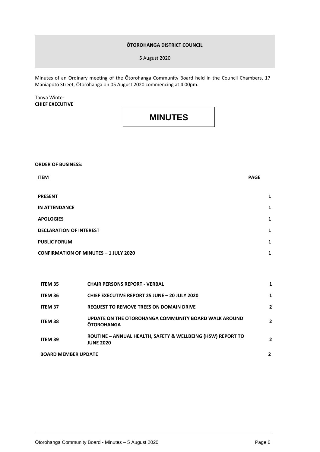#### **ŌTOROHANGA DISTRICT COUNCIL**

5 August 2020

Minutes of an Ordinary meeting of the Ōtorohanga Community Board held in the Council Chambers, 17 Maniapoto Street, Ōtorohanga on 05 August 2020 commencing at 4.00pm.

Tanya Winter **CHIEF EXECUTIVE**

**MINUTES**

**ORDER OF BUSINESS:**

| <b>ITEM</b>                                  | <b>PAGE</b> |
|----------------------------------------------|-------------|
|                                              |             |
| <b>PRESENT</b>                               | 1           |
| <b>IN ATTENDANCE</b>                         | 1           |
| <b>APOLOGIES</b>                             | 1           |
| <b>DECLARATION OF INTEREST</b>               | 1           |
| <b>PUBLIC FORUM</b>                          | 1           |
| <b>CONFIRMATION OF MINUTES - 1 JULY 2020</b> | 1           |

| <b>ITEM 35</b>             | <b>CHAIR PERSONS REPORT - VERBAL</b>                                            |              |
|----------------------------|---------------------------------------------------------------------------------|--------------|
| <b>ITEM 36</b>             | <b>CHIEF EXECUTIVE REPORT 25 JUNE - 20 JULY 2020</b>                            | 1            |
| <b>ITEM 37</b>             | <b>REQUEST TO REMOVE TREES ON DOMAIN DRIVE</b>                                  | 2            |
| <b>ITEM 38</b>             | UPDATE ON THE OTOROHANGA COMMUNITY BOARD WALK AROUND<br><b>OTOROHANGA</b>       | $\mathbf{2}$ |
| ITEM 39                    | ROUTINE - ANNUAL HEALTH, SAFETY & WELLBEING (HSW) REPORT TO<br><b>JUNE 2020</b> | 2            |
| <b>BOARD MEMBER UPDATE</b> |                                                                                 |              |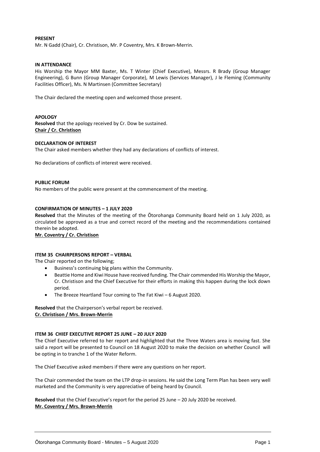#### **PRESENT**

Mr. N Gadd (Chair), Cr. Christison, Mr. P Coventry, Mrs. K Brown-Merrin.

#### **IN ATTENDANCE**

His Worship the Mayor MM Baxter, Ms. T Winter (Chief Executive), Messrs. R Brady (Group Manager Engineering), G Bunn (Group Manager Corporate), M Lewis (Services Manager), J le Fleming (Community Facilities Officer), Ms. N Martinsen (Committee Secretary)

The Chair declared the meeting open and welcomed those present.

#### **APOLOGY**

**Resolved** that the apology received by Cr. Dow be sustained. **Chair / Cr. Christison**

#### **DECLARATION OF INTEREST**

The Chair asked members whether they had any declarations of conflicts of interest.

No declarations of conflicts of interest were received.

#### **PUBLIC FORUM**

No members of the public were present at the commencement of the meeting.

#### **CONFIRMATION OF MINUTES – 1 JULY 2020**

**Resolved** that the Minutes of the meeting of the Ōtorohanga Community Board held on 1 July 2020, as circulated be approved as a true and correct record of the meeting and the recommendations contained therein be adopted.

#### **Mr. Coventry / Cr. Christison**

#### **ITEM 35 CHAIRPERSONS REPORT – VERBAL**

The Chair reported on the following;

- Business's continuing big plans within the Community.
- Beattie Home and Kiwi House have received funding. The Chair commended His Worship the Mayor, Cr. Christison and the Chief Executive for their efforts in making this happen during the lock down period.
- The Breeze Heartland Tour coming to The Fat Kiwi 6 August 2020.

**Resolved** that the Chairperson's verbal report be received. **Cr. Christison / Mrs. Brown-Merrin**

#### **ITEM 36 CHIEF EXECUTIVE REPORT 25 JUNE – 20 JULY 2020**

The Chief Executive referred to her report and highlighted that the Three Waters area is moving fast. She said a report will be presented to Council on 18 August 2020 to make the decision on whether Council will be opting in to tranche 1 of the Water Reform.

The Chief Executive asked members if there were any questions on her report.

The Chair commended the team on the LTP drop-in sessions. He said the Long Term Plan has been very well marketed and the Community is very appreciative of being heard by Council.

**Resolved** that the Chief Executive's report for the period 25 June – 20 July 2020 be received. **Mr. Coventry / Mrs. Brown-Merrin**